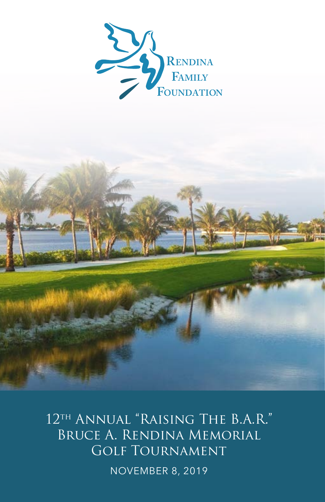

12<sup>TH</sup> ANNUAL "RAISING THE B.A.R." Bruce A. Rendina Memorial Golf Tournament NOVEMBER 8, 2019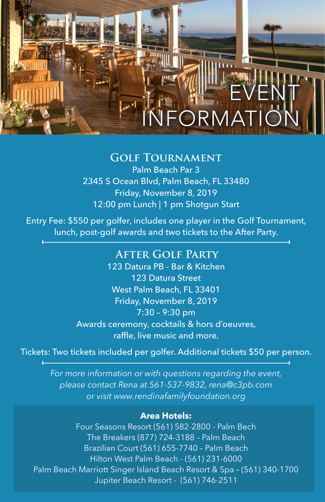# EVENT FORMA

## **Golf Tournament**

Palm Beach Par 3 2345 S Ocean Blvd, Palm Beach, FL 33480 Friday, November 8, 2019 12:00 pm Lunch | 1 pm Shotgun Start

Entry Fee: \$550 per golfer, includes one player in the Golf Tournament, lunch, post-golf awards and two tickets to the After Party.

## **After Golf Party**

123 Datura PB - Bar & Kitchen 123 Datura Street West Palm Beach, FL 33401 Friday, November 8, 2019 7:30 – 9:30 pm Awards ceremony, cocktails & hors d'oeuvres, raffle, live music and more.

Tickets: Two tickets included per golfer. Additional tickets \$50 per person.

*For more information or with questions regarding the event, please contact Rena at 561-537-9832, rena@c3pb.com or visit www.rendinafamilyfoundation.org* 

#### **Area Hotels:**

Four Seasons Resort (561) 582-2800 - Palm Bech The Breakers (877) 724-3188 – Palm Beach Brazilian Court (561) 655-7740 – Palm Beach Hilton West Palm Beach - (561) 231-6000 Palm Beach Marriott Singer Island Beach Resort & Spa – (561) 340-1700 Jupiter Beach Resort - (561) 746-2511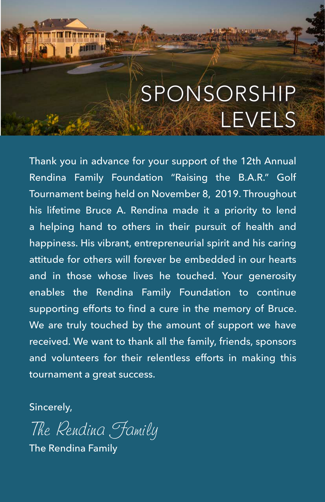## SPONSORSHIP LEVELS

Thank you in advance for your support of the 12th Annual Rendina Family Foundation "Raising the B.A.R." Golf Tournament being held on November 8, 2019. Throughout his lifetime Bruce A. Rendina made it a priority to lend a helping hand to others in their pursuit of health and happiness. His vibrant, entrepreneurial spirit and his caring attitude for others will forever be embedded in our hearts and in those whose lives he touched. Your generosity enables the Rendina Family Foundation to continue supporting efforts to find a cure in the memory of Bruce. We are truly touched by the amount of support we have received. We want to thank all the family, friends, sponsors and volunteers for their relentless efforts in making this tournament a great success.

Sincerely,

The Rendina Family

**EIETEI EI** 

The Rendina Family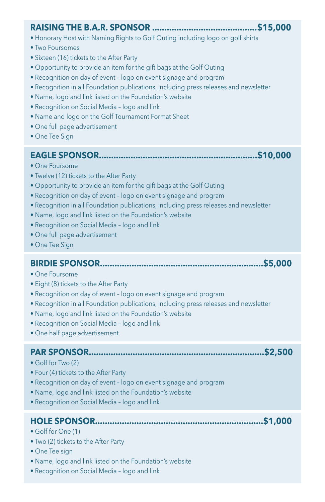### **RAISING THE B.A.R. SPONSOR ...........................................\$15,000**

- Honorary Host with Naming Rights to Golf Outing including logo on golf shirts
- Two Foursomes
- Sixteen (16) tickets to the After Party
- Opportunity to provide an item for the gift bags at the Golf Outing
- Recognition on day of event logo on event signage and program
- Recognition in all Foundation publications, including press releases and newsletter
- Name, logo and link listed on the Foundation's website
- Recognition on Social Media logo and link
- Name and logo on the Golf Tournament Format Sheet
- One full page advertisement
- One Tee Sign

#### **EAGLE SPONSOR.................................................................\$10,000**

- One Foursome
- Twelve (12) tickets to the After Party
- Opportunity to provide an item for the gift bags at the Golf Outing
- Recognition on day of event logo on event signage and program
- Recognition in all Foundation publications, including press releases and newsletter
- Name, logo and link listed on the Foundation's website
- Recognition on Social Media logo and link
- One full page advertisement
- One Tee Sign

### **BIRDIE SPONSOR...................................................................\$5,000**

- One Foursome
- Eight (8) tickets to the After Party
- Recognition on day of event logo on event signage and program
- Recognition in all Foundation publications, including press releases and newsletter
- Name, logo and link listed on the Foundation's website
- Recognition on Social Media logo and link
- One half page advertisement

#### **PAR SPONSOR........................................................................\$2,500**

- Golf for Two (2)
- Four (4) tickets to the After Party
- Recognition on day of event logo on event signage and program
- Name, logo and link listed on the Foundation's website
- Recognition on Social Media logo and link

#### **HOLE SPONSOR.....................................................................\$1,000**

- Golf for One (1)
- Two (2) tickets to the After Party
- One Tee sign
- Name, logo and link listed on the Foundation's website
- Recognition on Social Media logo and link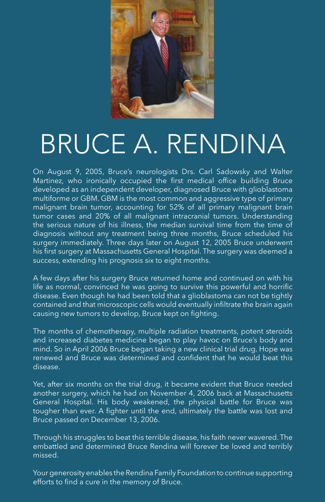

## BRUCE A. RENDINA

On August 9, 2005, Bruce's neurologists Drs. Carl Sadowsky and Walter Martinez, who ironically occupied the first medical office building Bruce developed as an independent developer, diagnosed Bruce with glioblastoma multiforme or GBM. GBM is the most common and aggressive type of primary malignant brain tumor, accounting for 52% of all primary malignant brain tumor cases and 20% of all malignant intracranial tumors. Understanding the serious nature of his illness, the median survival time from the time of diagnosis without any treatment being three months, Bruce scheduled his surgery immediately. Three days later on August 12, 2005 Bruce underwent his first surgery at Massachusetts General Hospital. The surgery was deemed a success, extending his prognosis six to eight months.

A few days after his surgery Bruce returned home and continued on with his life as normal, convinced he was going to survive this powerful and horrific disease. Even though he had been told that a glioblastoma can not be tightly contained and that microscopic cells would eventually infiltrate the brain again causing new tumors to develop, Bruce kept on fighting.

The months of chemotherapy, multiple radiation treatments, potent steroids and increased diabetes medicine began to play havoc on Bruce's body and mind. So in April 2006 Bruce began taking a new clinical trial drug. Hope was renewed and Bruce was determined and confident that he would beat this disease.

Yet, after six months on the trial drug, it became evident that Bruce needed another surgery, which he had on November 4, 2006 back at Massachusetts General Hospital. His body weakened, the physical battle for Bruce was tougher than ever. A fighter until the end, ultimately the battle was lost and Bruce passed on December 13, 2006.

Through his struggles to beat this terrible disease, his faith never wavered. The embattled and determined Bruce Rendina will forever be loved and terribly missed.

Your generosity enables the Rendina Family Foundation to continue supporting efforts to find a cure in the memory of Bruce.